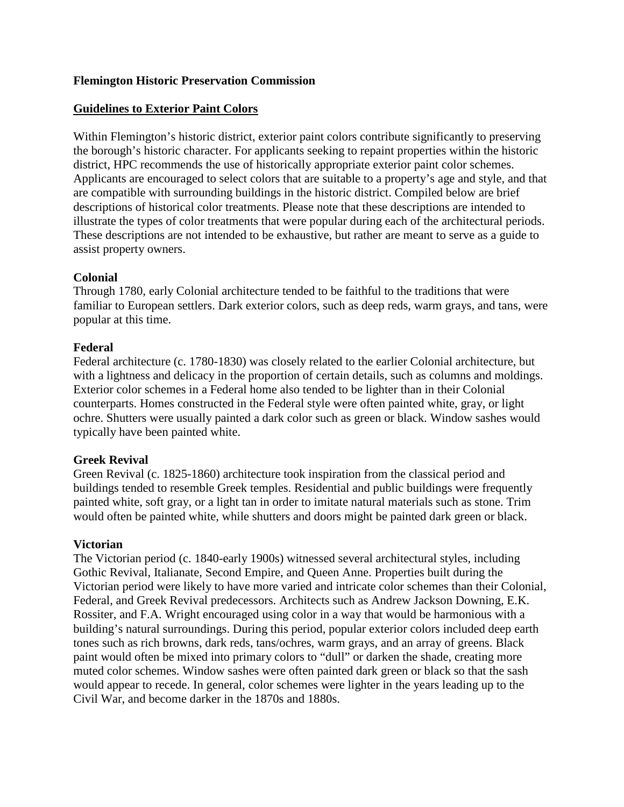## **Flemington Historic Preservation Commission**

## **Guidelines to Exterior Paint Colors**

Within Flemington's historic district, exterior paint colors contribute significantly to preserving the borough's historic character. For applicants seeking to repaint properties within the historic district, HPC recommends the use of historically appropriate exterior paint color schemes. Applicants are encouraged to select colors that are suitable to a property's age and style, and that are compatible with surrounding buildings in the historic district. Compiled below are brief descriptions of historical color treatments. Please note that these descriptions are intended to illustrate the types of color treatments that were popular during each of the architectural periods. These descriptions are not intended to be exhaustive, but rather are meant to serve as a guide to assist property owners.

## **Colonial**

Through 1780, early Colonial architecture tended to be faithful to the traditions that were familiar to European settlers. Dark exterior colors, such as deep reds, warm grays, and tans, were popular at this time.

## **Federal**

Federal architecture (c. 1780-1830) was closely related to the earlier Colonial architecture, but with a lightness and delicacy in the proportion of certain details, such as columns and moldings. Exterior color schemes in a Federal home also tended to be lighter than in their Colonial counterparts. Homes constructed in the Federal style were often painted white, gray, or light ochre. Shutters were usually painted a dark color such as green or black. Window sashes would typically have been painted white.

# **Greek Revival**

Green Revival (c. 1825-1860) architecture took inspiration from the classical period and buildings tended to resemble Greek temples. Residential and public buildings were frequently painted white, soft gray, or a light tan in order to imitate natural materials such as stone. Trim would often be painted white, while shutters and doors might be painted dark green or black.

#### **Victorian**

The Victorian period (c. 1840-early 1900s) witnessed several architectural styles, including Gothic Revival, Italianate, Second Empire, and Queen Anne. Properties built during the Victorian period were likely to have more varied and intricate color schemes than their Colonial, Federal, and Greek Revival predecessors. Architects such as Andrew Jackson Downing, E.K. Rossiter, and F.A. Wright encouraged using color in a way that would be harmonious with a building's natural surroundings. During this period, popular exterior colors included deep earth tones such as rich browns, dark reds, tans/ochres, warm grays, and an array of greens. Black paint would often be mixed into primary colors to "dull" or darken the shade, creating more muted color schemes. Window sashes were often painted dark green or black so that the sash would appear to recede. In general, color schemes were lighter in the years leading up to the Civil War, and become darker in the 1870s and 1880s.